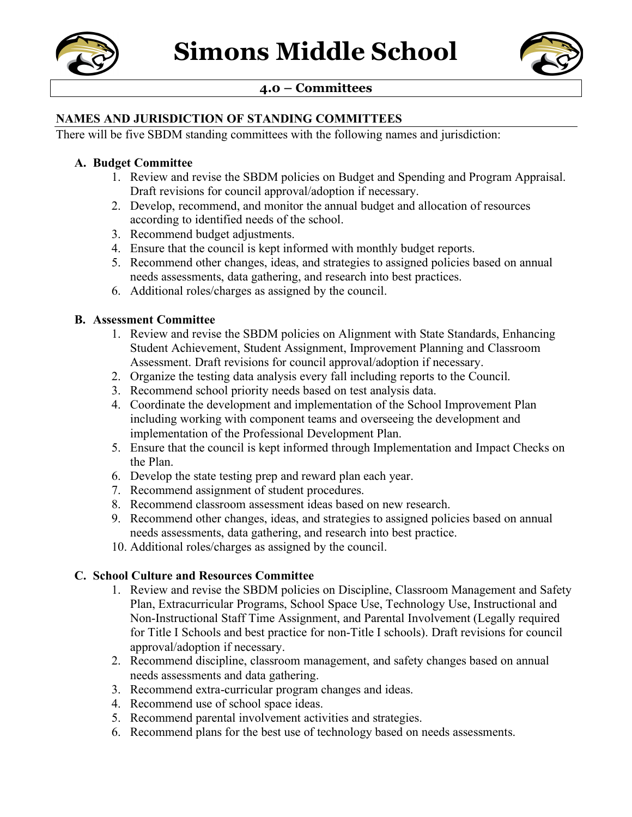



# **4.0 – Committees**

#### **NAMES AND JURISDICTION OF STANDING COMMITTEES**

There will be five SBDM standing committees with the following names and jurisdiction:

#### **A. Budget Committee**

- 1. Review and revise the SBDM policies on Budget and Spending and Program Appraisal. Draft revisions for council approval/adoption if necessary.
- 2. Develop, recommend, and monitor the annual budget and allocation of resources according to identified needs of the school.
- 3. Recommend budget adjustments.
- 4. Ensure that the council is kept informed with monthly budget reports.
- 5. Recommend other changes, ideas, and strategies to assigned policies based on annual needs assessments, data gathering, and research into best practices.
- 6. Additional roles/charges as assigned by the council.

#### **B. Assessment Committee**

- 1. Review and revise the SBDM policies on Alignment with State Standards, Enhancing Student Achievement, Student Assignment, Improvement Planning and Classroom Assessment. Draft revisions for council approval/adoption if necessary.
- 2. Organize the testing data analysis every fall including reports to the Council.
- 3. Recommend school priority needs based on test analysis data.
- 4. Coordinate the development and implementation of the School Improvement Plan including working with component teams and overseeing the development and implementation of the Professional Development Plan.
- 5. Ensure that the council is kept informed through Implementation and Impact Checks on the Plan.
- 6. Develop the state testing prep and reward plan each year.
- 7. Recommend assignment of student procedures.
- 8. Recommend classroom assessment ideas based on new research.
- 9. Recommend other changes, ideas, and strategies to assigned policies based on annual needs assessments, data gathering, and research into best practice.
- 10. Additional roles/charges as assigned by the council.

#### **C. School Culture and Resources Committee**

- 1. Review and revise the SBDM policies on Discipline, Classroom Management and Safety Plan, Extracurricular Programs, School Space Use, Technology Use, Instructional and Non-Instructional Staff Time Assignment, and Parental Involvement (Legally required for Title I Schools and best practice for non-Title I schools). Draft revisions for council approval/adoption if necessary.
- 2. Recommend discipline, classroom management, and safety changes based on annual needs assessments and data gathering.
- 3. Recommend extra-curricular program changes and ideas.
- 4. Recommend use of school space ideas.
- 5. Recommend parental involvement activities and strategies.
- 6. Recommend plans for the best use of technology based on needs assessments.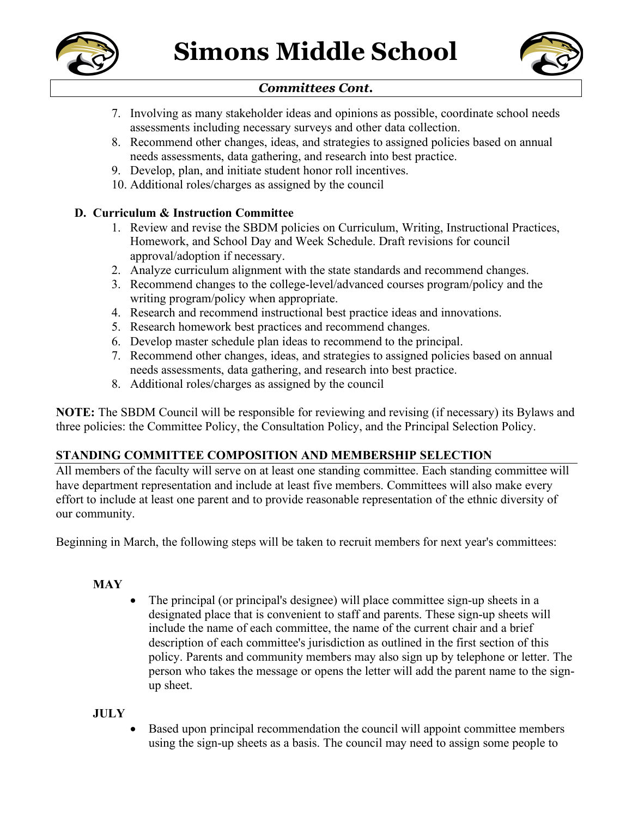



# *Committees Cont.*

- 7. Involving as many stakeholder ideas and opinions as possible, coordinate school needs assessments including necessary surveys and other data collection.
- 8. Recommend other changes, ideas, and strategies to assigned policies based on annual needs assessments, data gathering, and research into best practice.
- 9. Develop, plan, and initiate student honor roll incentives.
- 10. Additional roles/charges as assigned by the council

# **D. Curriculum & Instruction Committee**

- 1. Review and revise the SBDM policies on Curriculum, Writing, Instructional Practices, Homework, and School Day and Week Schedule. Draft revisions for council approval/adoption if necessary.
- 2. Analyze curriculum alignment with the state standards and recommend changes.
- 3. Recommend changes to the college-level/advanced courses program/policy and the writing program/policy when appropriate.
- 4. Research and recommend instructional best practice ideas and innovations.
- 5. Research homework best practices and recommend changes.
- 6. Develop master schedule plan ideas to recommend to the principal.
- 7. Recommend other changes, ideas, and strategies to assigned policies based on annual needs assessments, data gathering, and research into best practice.
- 8. Additional roles/charges as assigned by the council

**NOTE:** The SBDM Council will be responsible for reviewing and revising (if necessary) its Bylaws and three policies: the Committee Policy, the Consultation Policy, and the Principal Selection Policy.

# **STANDING COMMITTEE COMPOSITION AND MEMBERSHIP SELECTION**

All members of the faculty will serve on at least one standing committee. Each standing committee will have department representation and include at least five members. Committees will also make every effort to include at least one parent and to provide reasonable representation of the ethnic diversity of our community.

Beginning in March, the following steps will be taken to recruit members for next year's committees:

# **MAY**

• The principal (or principal's designee) will place committee sign-up sheets in a designated place that is convenient to staff and parents. These sign-up sheets will include the name of each committee, the name of the current chair and a brief description of each committee's jurisdiction as outlined in the first section of this policy. Parents and community members may also sign up by telephone or letter. The person who takes the message or opens the letter will add the parent name to the signup sheet.

# **JULY**

• Based upon principal recommendation the council will appoint committee members using the sign-up sheets as a basis. The council may need to assign some people to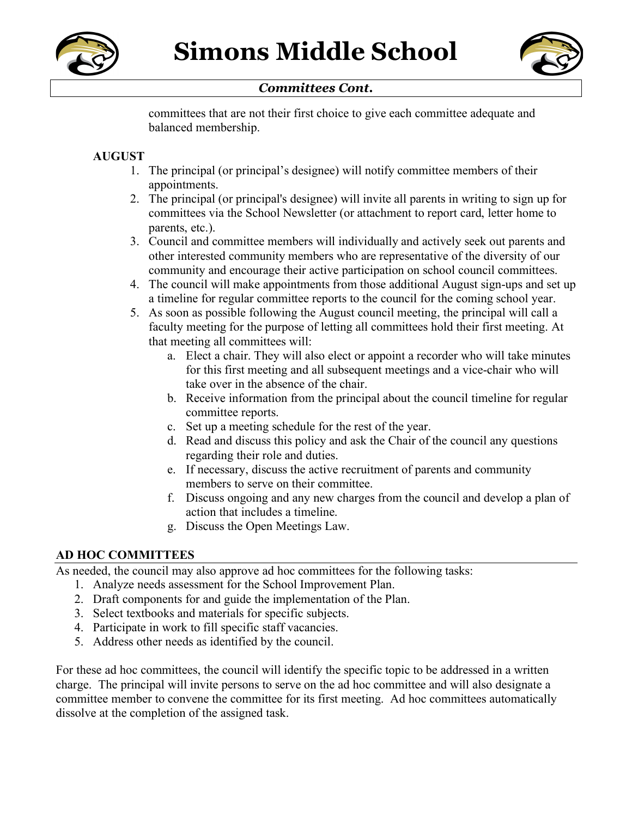



### *Committees Cont.*

committees that are not their first choice to give each committee adequate and balanced membership.

### **AUGUST**

- 1. The principal (or principal's designee) will notify committee members of their appointments.
- 2. The principal (or principal's designee) will invite all parents in writing to sign up for committees via the School Newsletter (or attachment to report card, letter home to parents, etc.).
- 3. Council and committee members will individually and actively seek out parents and other interested community members who are representative of the diversity of our community and encourage their active participation on school council committees.
- 4. The council will make appointments from those additional August sign-ups and set up a timeline for regular committee reports to the council for the coming school year.
- 5. As soon as possible following the August council meeting, the principal will call a faculty meeting for the purpose of letting all committees hold their first meeting. At that meeting all committees will:
	- a. Elect a chair. They will also elect or appoint a recorder who will take minutes for this first meeting and all subsequent meetings and a vice-chair who will take over in the absence of the chair.
	- b. Receive information from the principal about the council timeline for regular committee reports.
	- c. Set up a meeting schedule for the rest of the year.
	- d. Read and discuss this policy and ask the Chair of the council any questions regarding their role and duties.
	- e. If necessary, discuss the active recruitment of parents and community members to serve on their committee.
	- f. Discuss ongoing and any new charges from the council and develop a plan of action that includes a timeline.
	- g. Discuss the Open Meetings Law.

#### **AD HOC COMMITTEES**

As needed, the council may also approve ad hoc committees for the following tasks:

- 1. Analyze needs assessment for the School Improvement Plan.
- 2. Draft components for and guide the implementation of the Plan.
- 3. Select textbooks and materials for specific subjects.
- 4. Participate in work to fill specific staff vacancies.
- 5. Address other needs as identified by the council.

For these ad hoc committees, the council will identify the specific topic to be addressed in a written charge. The principal will invite persons to serve on the ad hoc committee and will also designate a committee member to convene the committee for its first meeting. Ad hoc committees automatically dissolve at the completion of the assigned task.